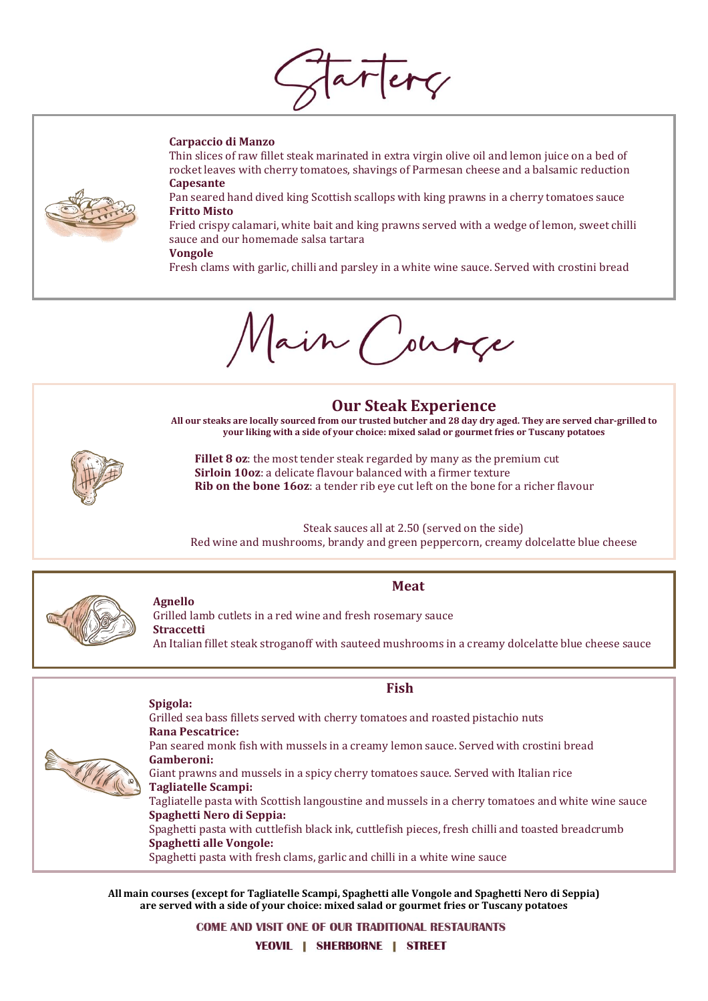artery

### **Carpaccio di Manzo**



Thin slices of raw fillet steak marinated in extra virgin olive oil and lemon juice on a bed of rocket leaves with cherry tomatoes, shavings of Parmesan cheese and a balsamic reduction **Capesante**

Pan seared hand dived king Scottish scallops with king prawns in a cherry tomatoes sauce **Fritto Misto**

Fried crispy calamari, white bait and king prawns served with a wedge of lemon, sweet chilli sauce and our homemade salsa tartara

### **Vongole**

Fresh clams with garlic, chilli and parsley in a white wine sauce. Served with crostini bread

ain ( ource

# **Our Steak Experience**

**All our steaks are locally sourced from our trusted butcher and 28 day dry aged. They are served char-grilled to your liking with a side of your choice: mixed salad or gourmet fries or Tuscany potatoes**



**Fillet 8 oz**: the most tender steak regarded by many as the premium cut **Sirloin 10oz**: a delicate flavour balanced with a firmer texture **Rib on the bone 16oz**: a tender rib eye cut left on the bone for a richer flavour

Steak sauces all at 2.50 (served on the side) Red wine and mushrooms, brandy and green peppercorn, creamy dolcelatte blue cheese



### **Meat**

**Agnello** Grilled lamb cutlets in a red wine and fresh rosemary sauce **Straccetti** An Italian fillet steak stroganoff with sauteed mushrooms in a creamy dolcelatte blue cheese sauce

## **Fish Spigola:**

**Rana Pescatrice:** Pan seared monk fish with mussels in a creamy lemon sauce. Served with crostini bread

Grilled sea bass fillets served with cherry tomatoes and roasted pistachio nuts

**Gamberoni:**  Giant prawns and mussels in a spicy cherry tomatoes sauce. Served with Italian rice **Tagliatelle Scampi:** 

Tagliatelle pasta with Scottish langoustine and mussels in a cherry tomatoes and white wine sauce **Spaghetti Nero di Seppia:** 

Spaghetti pasta with cuttlefish black ink, cuttlefish pieces, fresh chilli and toasted breadcrumb **Spaghetti alle Vongole:** 

Spaghetti pasta with fresh clams, garlic and chilli in a white wine sauce

**All main courses (except for Tagliatelle Scampi, Spaghetti alle Vongole and Spaghetti Nero di Seppia) are served with a side of your choice: mixed salad or gourmet fries or Tuscany potatoes**

**COME AND VISIT ONE OF OUR TRADITIONAL RESTAURANTS** 

YEOVIL | SHERBORNE | STREET